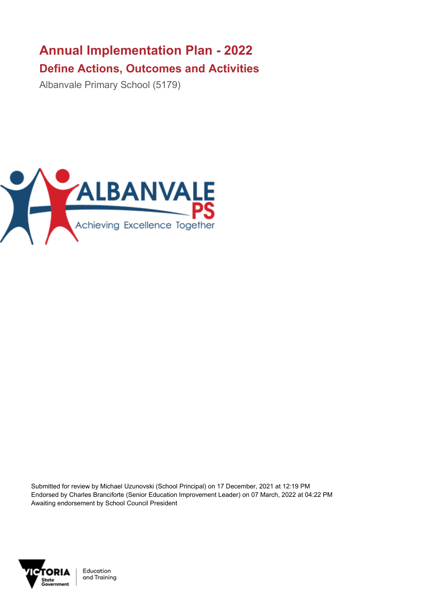## **Annual Implementation Plan - 2022 Define Actions, Outcomes and Activities**

Albanvale Primary School (5179)



Submitted for review by Michael Uzunovski (School Principal) on 17 December, 2021 at 12:19 PM Endorsed by Charles Branciforte (Senior Education Improvement Leader) on 07 March, 2022 at 04:22 PM Awaiting endorsement by School Council President



Education and Training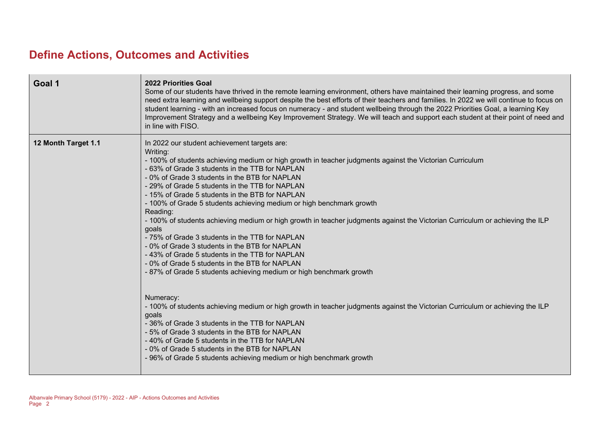## **Define Actions, Outcomes and Activities**

| Goal 1              | 2022 Priorities Goal<br>Some of our students have thrived in the remote learning environment, others have maintained their learning progress, and some<br>need extra learning and wellbeing support despite the best efforts of their teachers and families. In 2022 we will continue to focus on<br>student learning - with an increased focus on numeracy - and student wellbeing through the 2022 Priorities Goal, a learning Key<br>Improvement Strategy and a wellbeing Key Improvement Strategy. We will teach and support each student at their point of need and<br>in line with FISO.                                                                                                                                                                                                                                                                                                                                                                                                                                                                                                                                                                                                                                                                                                                                    |
|---------------------|-----------------------------------------------------------------------------------------------------------------------------------------------------------------------------------------------------------------------------------------------------------------------------------------------------------------------------------------------------------------------------------------------------------------------------------------------------------------------------------------------------------------------------------------------------------------------------------------------------------------------------------------------------------------------------------------------------------------------------------------------------------------------------------------------------------------------------------------------------------------------------------------------------------------------------------------------------------------------------------------------------------------------------------------------------------------------------------------------------------------------------------------------------------------------------------------------------------------------------------------------------------------------------------------------------------------------------------|
| 12 Month Target 1.1 | In 2022 our student achievement targets are:<br>Writing:<br>- 100% of students achieving medium or high growth in teacher judgments against the Victorian Curriculum<br>- 63% of Grade 3 students in the TTB for NAPLAN<br>- 0% of Grade 3 students in the BTB for NAPLAN<br>- 29% of Grade 5 students in the TTB for NAPLAN<br>- 15% of Grade 5 students in the BTB for NAPLAN<br>- 100% of Grade 5 students achieving medium or high benchmark growth<br>Reading:<br>- 100% of students achieving medium or high growth in teacher judgments against the Victorian Curriculum or achieving the ILP<br>goals<br>- 75% of Grade 3 students in the TTB for NAPLAN<br>- 0% of Grade 3 students in the BTB for NAPLAN<br>-43% of Grade 5 students in the TTB for NAPLAN<br>-0% of Grade 5 students in the BTB for NAPLAN<br>-87% of Grade 5 students achieving medium or high benchmark growth<br>Numeracy:<br>- 100% of students achieving medium or high growth in teacher judgments against the Victorian Curriculum or achieving the ILP<br>goals<br>-36% of Grade 3 students in the TTB for NAPLAN<br>- 5% of Grade 3 students in the BTB for NAPLAN<br>- 40% of Grade 5 students in the TTB for NAPLAN<br>-0% of Grade 5 students in the BTB for NAPLAN<br>- 96% of Grade 5 students achieving medium or high benchmark growth |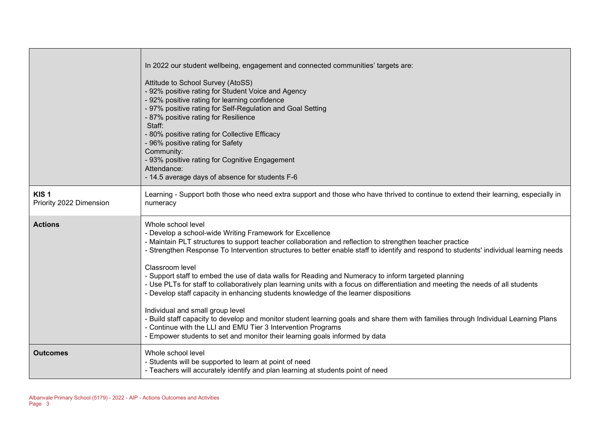|                                             | In 2022 our student wellbeing, engagement and connected communities' targets are:<br>Attitude to School Survey (AtoSS)<br>- 92% positive rating for Student Voice and Agency<br>- 92% positive rating for learning confidence<br>- 97% positive rating for Self-Regulation and Goal Setting<br>- 87% positive rating for Resilience<br>Staff:<br>- 80% positive rating for Collective Efficacy<br>- 96% positive rating for Safety<br>Community:<br>- 93% positive rating for Cognitive Engagement<br>Attendance:<br>- 14.5 average days of absence for students F-6                                                                                                                                                                                                                                                                                                                                                                                                                                                  |
|---------------------------------------------|-----------------------------------------------------------------------------------------------------------------------------------------------------------------------------------------------------------------------------------------------------------------------------------------------------------------------------------------------------------------------------------------------------------------------------------------------------------------------------------------------------------------------------------------------------------------------------------------------------------------------------------------------------------------------------------------------------------------------------------------------------------------------------------------------------------------------------------------------------------------------------------------------------------------------------------------------------------------------------------------------------------------------|
| KIS <sub>1</sub><br>Priority 2022 Dimension | Learning - Support both those who need extra support and those who have thrived to continue to extend their learning, especially in<br>numeracy                                                                                                                                                                                                                                                                                                                                                                                                                                                                                                                                                                                                                                                                                                                                                                                                                                                                       |
| <b>Actions</b>                              | Whole school level<br>- Develop a school-wide Writing Framework for Excellence<br>- Maintain PLT structures to support teacher collaboration and reflection to strengthen teacher practice<br>- Strengthen Response To Intervention structures to better enable staff to identify and respond to students' individual learning needs<br>Classroom level<br>- Support staff to embed the use of data walls for Reading and Numeracy to inform targeted planning<br>- Use PLTs for staff to collaboratively plan learning units with a focus on differentiation and meeting the needs of all students<br>- Develop staff capacity in enhancing students knowledge of the learner dispositions<br>Individual and small group level<br>- Build staff capacity to develop and monitor student learning goals and share them with families through Individual Learning Plans<br>- Continue with the LLI and EMU Tier 3 Intervention Programs<br>- Empower students to set and monitor their learning goals informed by data |
| <b>Outcomes</b>                             | Whole school level<br>- Students will be supported to learn at point of need<br>- Teachers will accurately identify and plan learning at students point of need                                                                                                                                                                                                                                                                                                                                                                                                                                                                                                                                                                                                                                                                                                                                                                                                                                                       |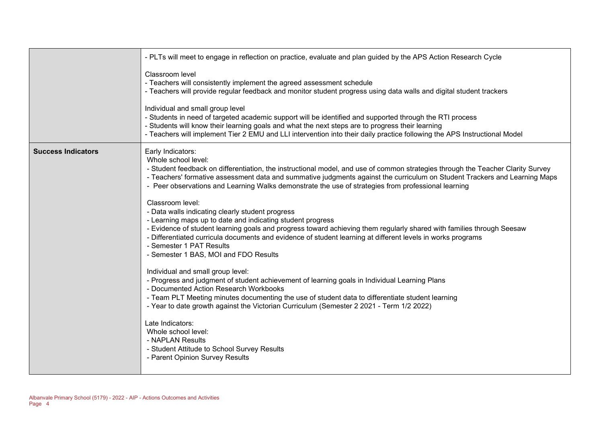|                           | - PLTs will meet to engage in reflection on practice, evaluate and plan guided by the APS Action Research Cycle                                                                                                                                                                                                                                                                                                                                 |
|---------------------------|-------------------------------------------------------------------------------------------------------------------------------------------------------------------------------------------------------------------------------------------------------------------------------------------------------------------------------------------------------------------------------------------------------------------------------------------------|
|                           | Classroom level<br>- Teachers will consistently implement the agreed assessment schedule<br>- Teachers will provide regular feedback and monitor student progress using data walls and digital student trackers                                                                                                                                                                                                                                 |
|                           | Individual and small group level<br>- Students in need of targeted academic support will be identified and supported through the RTI process<br>- Students will know their learning goals and what the next steps are to progress their learning<br>- Teachers will implement Tier 2 EMU and LLI intervention into their daily practice following the APS Instructional Model                                                                   |
| <b>Success Indicators</b> | Early Indicators:<br>Whole school level:<br>- Student feedback on differentiation, the instructional model, and use of common strategies through the Teacher Clarity Survey<br>- Teachers' formative assessment data and summative judgments against the curriculum on Student Trackers and Learning Maps<br>- Peer observations and Learning Walks demonstrate the use of strategies from professional learning                                |
|                           | Classroom level:<br>- Data walls indicating clearly student progress<br>- Learning maps up to date and indicating student progress<br>- Evidence of student learning goals and progress toward achieving them regularly shared with families through Seesaw<br>- Differentiated curricula documents and evidence of student learning at different levels in works programs<br>- Semester 1 PAT Results<br>- Semester 1 BAS, MOI and FDO Results |
|                           | Individual and small group level:<br>- Progress and judgment of student achievement of learning goals in Individual Learning Plans<br>- Documented Action Research Workbooks<br>- Team PLT Meeting minutes documenting the use of student data to differentiate student learning<br>- Year to date growth against the Victorian Curriculum (Semester 2 2021 - Term 1/2 2022)                                                                    |
|                           | Late Indicators:<br>Whole school level:<br>- NAPLAN Results<br>- Student Attitude to School Survey Results<br>- Parent Opinion Survey Results                                                                                                                                                                                                                                                                                                   |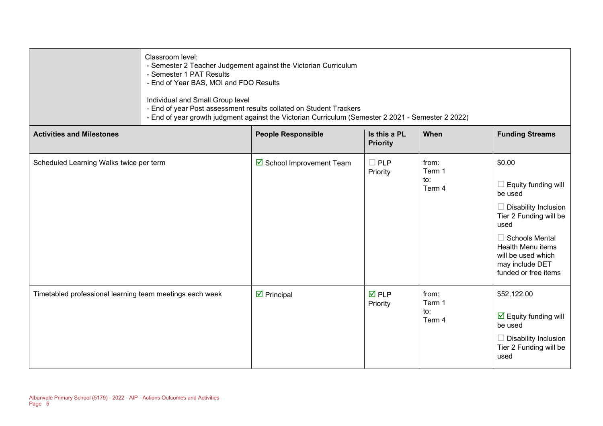|                                                          | Classroom level:<br>- Semester 2 Teacher Judgement against the Victorian Curriculum<br>- Semester 1 PAT Results<br>- End of Year BAS, MOI and FDO Results                                                    |                                   |                                 |                                  |                                                                                                                                                                                                                          |
|----------------------------------------------------------|--------------------------------------------------------------------------------------------------------------------------------------------------------------------------------------------------------------|-----------------------------------|---------------------------------|----------------------------------|--------------------------------------------------------------------------------------------------------------------------------------------------------------------------------------------------------------------------|
|                                                          | Individual and Small Group level<br>- End of year Post assessment results collated on Student Trackers<br>- End of year growth judgment against the Victorian Curriculum (Semester 2 2021 - Semester 2 2022) |                                   |                                 |                                  |                                                                                                                                                                                                                          |
| <b>Activities and Milestones</b>                         |                                                                                                                                                                                                              | <b>People Responsible</b>         | Is this a PL<br><b>Priority</b> | When                             | <b>Funding Streams</b>                                                                                                                                                                                                   |
| Scheduled Learning Walks twice per term                  |                                                                                                                                                                                                              | ☑ School Improvement Team         | $\Box$ PLP<br>Priority          | from:<br>Term 1<br>to:<br>Term 4 | \$0.00<br>Equity funding will<br>be used<br>Disability Inclusion<br>Tier 2 Funding will be<br>used<br><b>Schools Mental</b><br><b>Health Menu items</b><br>will be used which<br>may include DET<br>funded or free items |
| Timetabled professional learning team meetings each week |                                                                                                                                                                                                              | $\overline{\mathbf{y}}$ Principal | $\overline{M}$ PLP<br>Priority  | from:<br>Term 1<br>to:<br>Term 4 | \$52,122.00<br>$\boxed{\triangle}$ Equity funding will<br>be used<br><b>Disability Inclusion</b><br>Tier 2 Funding will be<br>used                                                                                       |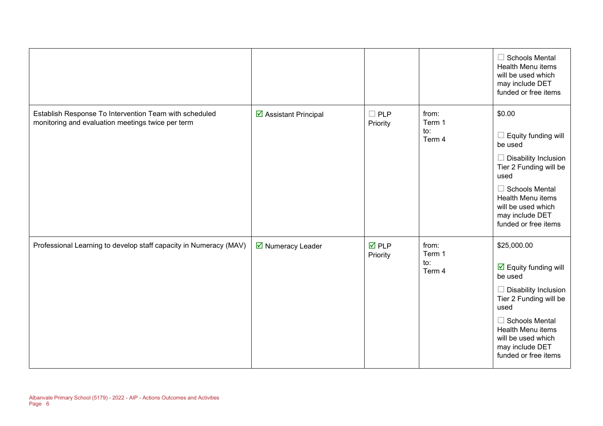|                                                                                                             |                       |                                |                                  | $\Box$ Schools Mental<br>Health Menu items<br>will be used which<br>may include DET<br>funded or free items                                                                                                                                           |
|-------------------------------------------------------------------------------------------------------------|-----------------------|--------------------------------|----------------------------------|-------------------------------------------------------------------------------------------------------------------------------------------------------------------------------------------------------------------------------------------------------|
| Establish Response To Intervention Team with scheduled<br>monitoring and evaluation meetings twice per term | ☑ Assistant Principal | $\Box$ PLP<br>Priority         | from:<br>Term 1<br>to:<br>Term 4 | \$0.00<br>Equity funding will<br>be used<br>$\Box$ Disability Inclusion<br>Tier 2 Funding will be<br>used<br>$\Box$ Schools Mental<br><b>Health Menu items</b><br>will be used which<br>may include DET<br>funded or free items                       |
| Professional Learning to develop staff capacity in Numeracy (MAV)                                           | ■ Numeracy Leader     | $\overline{M}$ PLP<br>Priority | from:<br>Term 1<br>to:<br>Term 4 | \$25,000.00<br>$\overline{\mathbf{y}}$ Equity funding will<br>be used<br>$\Box$ Disability Inclusion<br>Tier 2 Funding will be<br>used<br>$\Box$ Schools Mental<br>Health Menu items<br>will be used which<br>may include DET<br>funded or free items |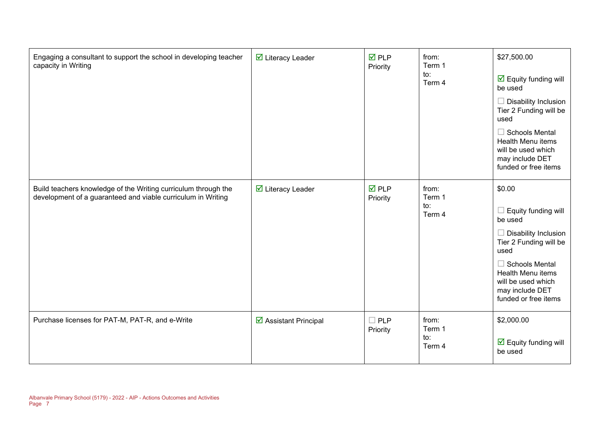| Engaging a consultant to support the school in developing teacher<br>capacity in Writing                                       | <b>Ø</b> Literacy Leader        | $\overline{M}$ PLP<br>Priority | from:<br>Term 1<br>to:<br>Term 4 | \$27,500.00<br>$\overline{\mathbf{y}}$ Equity funding will<br>be used<br><b>Disability Inclusion</b><br>Tier 2 Funding will be<br>used<br><b>Schools Mental</b><br>Health Menu items<br>will be used which<br>may include DET<br>funded or free items |
|--------------------------------------------------------------------------------------------------------------------------------|---------------------------------|--------------------------------|----------------------------------|-------------------------------------------------------------------------------------------------------------------------------------------------------------------------------------------------------------------------------------------------------|
| Build teachers knowledge of the Writing curriculum through the<br>development of a guaranteed and viable curriculum in Writing | $\triangledown$ Literacy Leader | $\nabla$ PLP<br>Priority       | from:<br>Term 1<br>to:<br>Term 4 | \$0.00<br>Equity funding will<br>be used<br><b>Disability Inclusion</b><br>Tier 2 Funding will be<br>used<br><b>Schools Mental</b><br>Health Menu items<br>will be used which<br>may include DET<br>funded or free items                              |
| Purchase licenses for PAT-M, PAT-R, and e-Write                                                                                | ☑ Assistant Principal           | $\square$ PLP<br>Priority      | from:<br>Term 1<br>to:<br>Term 4 | \$2,000.00<br>$\overline{\mathbf{y}}$ Equity funding will<br>be used                                                                                                                                                                                  |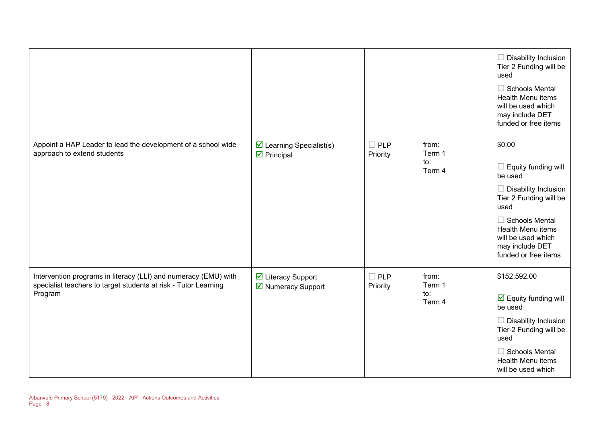|                                                                                                                                               |                                                                       |                           |                                  | $\Box$ Disability Inclusion<br>Tier 2 Funding will be<br>used<br>$\Box$ Schools Mental<br><b>Health Menu items</b><br>will be used which<br>may include DET<br>funded or free items                                             |
|-----------------------------------------------------------------------------------------------------------------------------------------------|-----------------------------------------------------------------------|---------------------------|----------------------------------|---------------------------------------------------------------------------------------------------------------------------------------------------------------------------------------------------------------------------------|
| Appoint a HAP Leader to lead the development of a school wide<br>approach to extend students                                                  | $\triangleright$ Learning Specialist(s)<br>$\triangleright$ Principal | $\Box$ PLP<br>Priority    | from:<br>Term 1<br>to:<br>Term 4 | \$0.00<br>$\Box$ Equity funding will<br>be used<br>$\Box$ Disability Inclusion<br>Tier 2 Funding will be<br>used<br>$\Box$ Schools Mental<br>Health Menu items<br>will be used which<br>may include DET<br>funded or free items |
| Intervention programs in literacy (LLI) and numeracy (EMU) with<br>specialist teachers to target students at risk - Tutor Learning<br>Program | ☑ Literacy Support<br>■ Numeracy Support                              | $\square$ PLP<br>Priority | from:<br>Term 1<br>to:<br>Term 4 | \$152,592.00<br>$\boxdot$ Equity funding will<br>be used<br>$\Box$ Disability Inclusion<br>Tier 2 Funding will be<br>used<br>$\Box$ Schools Mental<br>Health Menu items<br>will be used which                                   |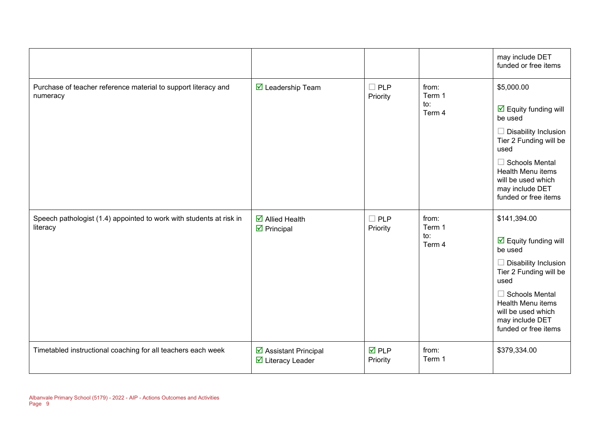|                                                                                 |                                                                     |                                |                                  | may include DET<br>funded or free items                                                                                                                                                                                                                |
|---------------------------------------------------------------------------------|---------------------------------------------------------------------|--------------------------------|----------------------------------|--------------------------------------------------------------------------------------------------------------------------------------------------------------------------------------------------------------------------------------------------------|
| Purchase of teacher reference material to support literacy and<br>numeracy      | $\overline{\mathbf{M}}$ Leadership Team                             | $\Box$ PLP<br>Priority         | from:<br>Term 1<br>to:<br>Term 4 | \$5,000.00<br>$\overline{\mathbf{y}}$ Equity funding will<br>be used<br>$\Box$ Disability Inclusion<br>Tier 2 Funding will be<br>used<br>$\Box$ Schools Mental<br>Health Menu items<br>will be used which<br>may include DET<br>funded or free items   |
| Speech pathologist (1.4) appointed to work with students at risk in<br>literacy | $\overline{\mathbf{M}}$ Allied Health<br>$\triangleright$ Principal | $\square$ PLP<br>Priority      | from:<br>Term 1<br>to:<br>Term 4 | \$141,394.00<br>$\overline{\mathbf{y}}$ Equity funding will<br>be used<br>$\Box$ Disability Inclusion<br>Tier 2 Funding will be<br>used<br>$\Box$ Schools Mental<br>Health Menu items<br>will be used which<br>may include DET<br>funded or free items |
| Timetabled instructional coaching for all teachers each week                    | ☑ Assistant Principal<br>☑ Literacy Leader                          | $\overline{M}$ PLP<br>Priority | from:<br>Term 1                  | \$379,334.00                                                                                                                                                                                                                                           |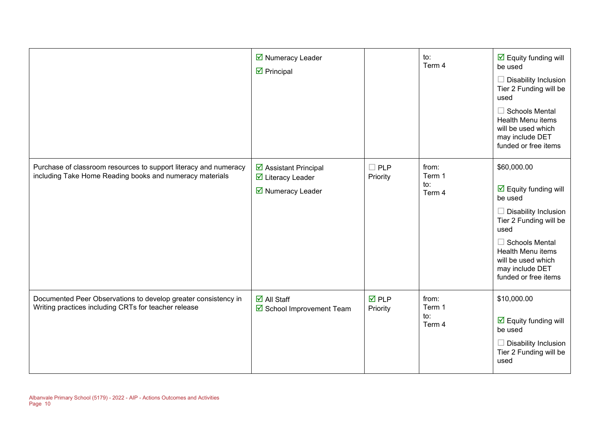|                                                                                                                              | ■ Numeracy Leader<br>$\triangleright$ Principal                                       |                         | to:<br>Term 4                    | $\overline{\mathbf{y}}$ Equity funding will<br>be used<br><b>Disability Inclusion</b><br>Tier 2 Funding will be<br>used<br><b>Schools Mental</b><br><b>Health Menu items</b><br>will be used which<br>may include DET<br>funded or free items         |
|------------------------------------------------------------------------------------------------------------------------------|---------------------------------------------------------------------------------------|-------------------------|----------------------------------|-------------------------------------------------------------------------------------------------------------------------------------------------------------------------------------------------------------------------------------------------------|
| Purchase of classroom resources to support literacy and numeracy<br>including Take Home Reading books and numeracy materials | ☑ Assistant Principal<br>$\overline{\mathbf{y}}$ Literacy Leader<br>■ Numeracy Leader | <b>PLP</b><br>Priority  | from:<br>Term 1<br>to:<br>Term 4 | \$60,000.00<br>$\overline{\mathbf{y}}$ Equity funding will<br>be used<br><b>Disability Inclusion</b><br>Tier 2 Funding will be<br>used<br>$\Box$ Schools Mental<br>Health Menu items<br>will be used which<br>may include DET<br>funded or free items |
| Documented Peer Observations to develop greater consistency in<br>Writing practices including CRTs for teacher release       | $\overline{\mathbf{M}}$ All Staff<br>☑ School Improvement Team                        | <b>ØPLP</b><br>Priority | from:<br>Term 1<br>to:<br>Term 4 | \$10,000.00<br>$\overline{\mathbf{y}}$ Equity funding will<br>be used<br><b>Disability Inclusion</b><br>Tier 2 Funding will be<br>used                                                                                                                |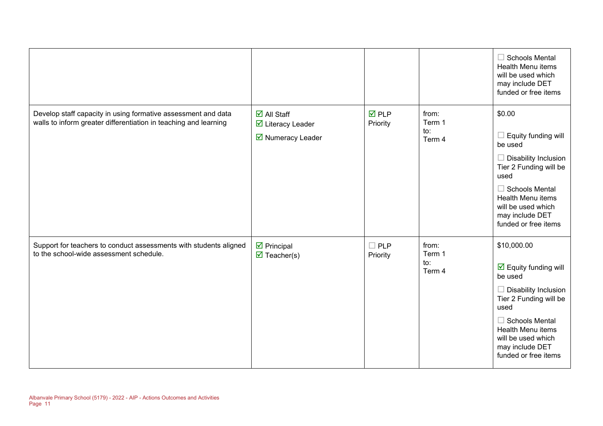|                                                                                                                                   |                                                                                                   |                                |                                  | $\Box$ Schools Mental<br>Health Menu items<br>will be used which<br>may include DET<br>funded or free items                                                                                                                                           |
|-----------------------------------------------------------------------------------------------------------------------------------|---------------------------------------------------------------------------------------------------|--------------------------------|----------------------------------|-------------------------------------------------------------------------------------------------------------------------------------------------------------------------------------------------------------------------------------------------------|
| Develop staff capacity in using formative assessment and data<br>walls to inform greater differentiation in teaching and learning | $\overline{\mathsf{M}}$ All Staff<br>☑ Literacy Leader<br>$\overline{\mathbf{y}}$ Numeracy Leader | $\overline{M}$ PLP<br>Priority | from:<br>Term 1<br>to:<br>Term 4 | \$0.00<br>Equity funding will<br>be used<br>$\Box$ Disability Inclusion<br>Tier 2 Funding will be<br>used<br>$\Box$ Schools Mental<br>Health Menu items<br>will be used which<br>may include DET<br>funded or free items                              |
| Support for teachers to conduct assessments with students aligned<br>to the school-wide assessment schedule.                      | $\triangleright$ Principal<br>$\overline{\mathbf{M}}$ Teacher(s)                                  | $\Box$ PLP<br>Priority         | from:<br>Term 1<br>to:<br>Term 4 | \$10,000.00<br>$\overline{\mathbf{y}}$ Equity funding will<br>be used<br>$\Box$ Disability Inclusion<br>Tier 2 Funding will be<br>used<br>$\Box$ Schools Mental<br>Health Menu items<br>will be used which<br>may include DET<br>funded or free items |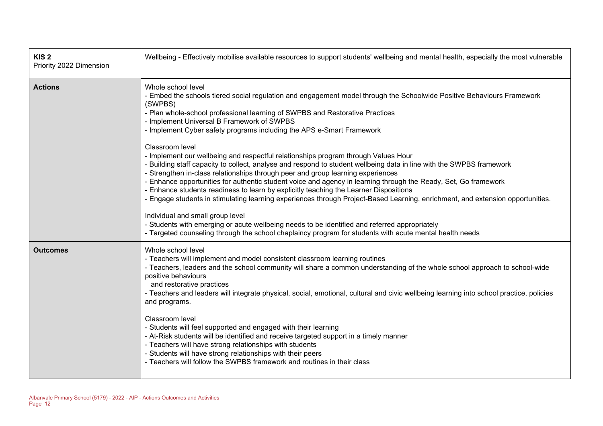| KIS <sub>2</sub><br>Priority 2022 Dimension | Wellbeing - Effectively mobilise available resources to support students' wellbeing and mental health, especially the most vulnerable                                                                                                                                                                                                                                                                                                                                                                                                                                                                                                                                                                                                                                                                                                                                                                                                                                                                                                                                                                                                                                                                                                                                            |
|---------------------------------------------|----------------------------------------------------------------------------------------------------------------------------------------------------------------------------------------------------------------------------------------------------------------------------------------------------------------------------------------------------------------------------------------------------------------------------------------------------------------------------------------------------------------------------------------------------------------------------------------------------------------------------------------------------------------------------------------------------------------------------------------------------------------------------------------------------------------------------------------------------------------------------------------------------------------------------------------------------------------------------------------------------------------------------------------------------------------------------------------------------------------------------------------------------------------------------------------------------------------------------------------------------------------------------------|
| <b>Actions</b>                              | Whole school level<br>- Embed the schools tiered social regulation and engagement model through the Schoolwide Positive Behaviours Framework<br>(SWPBS)<br>- Plan whole-school professional learning of SWPBS and Restorative Practices<br>- Implement Universal B Framework of SWPBS<br>- Implement Cyber safety programs including the APS e-Smart Framework<br>Classroom level<br>- Implement our wellbeing and respectful relationships program through Values Hour<br>- Building staff capacity to collect, analyse and respond to student wellbeing data in line with the SWPBS framework<br>- Strengthen in-class relationships through peer and group learning experiences<br>- Enhance opportunities for authentic student voice and agency in learning through the Ready, Set, Go framework<br>- Enhance students readiness to learn by explicitly teaching the Learner Dispositions<br>- Engage students in stimulating learning experiences through Project-Based Learning, enrichment, and extension opportunities.<br>Individual and small group level<br>- Students with emerging or acute wellbeing needs to be identified and referred appropriately<br>- Targeted counseling through the school chaplaincy program for students with acute mental health needs |
| <b>Outcomes</b>                             | Whole school level<br>- Teachers will implement and model consistent classroom learning routines<br>- Teachers, leaders and the school community will share a common understanding of the whole school approach to school-wide<br>positive behaviours<br>and restorative practices<br>- Teachers and leaders will integrate physical, social, emotional, cultural and civic wellbeing learning into school practice, policies<br>and programs.<br>Classroom level<br>- Students will feel supported and engaged with their learning<br>- At-Risk students will be identified and receive targeted support in a timely manner<br>- Teachers will have strong relationships with students<br>- Students will have strong relationships with their peers<br>- Teachers will follow the SWPBS framework and routines in their class                                                                                                                                                                                                                                                                                                                                                                                                                                                  |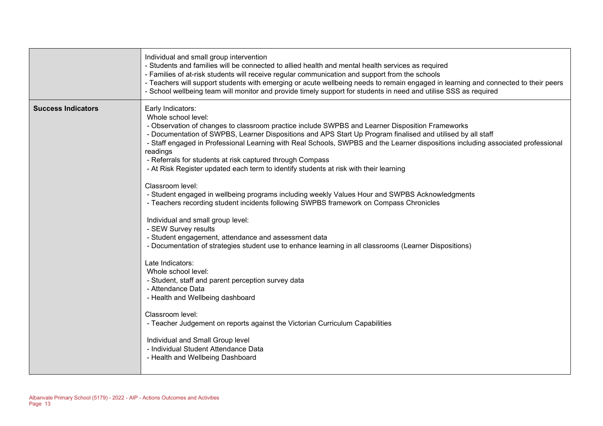|                           | Individual and small group intervention<br>- Students and families will be connected to allied health and mental health services as required<br>- Families of at-risk students will receive regular communication and support from the schools<br>- Teachers will support students with emerging or acute wellbeing needs to remain engaged in learning and connected to their peers<br>- School wellbeing team will monitor and provide timely support for students in need and utilise SSS as required                                                                                                                                                                                                                                                                                                                                                                                                                                                                                                                                                                                                                                                                                                                                                                                                                                                                                      |
|---------------------------|-----------------------------------------------------------------------------------------------------------------------------------------------------------------------------------------------------------------------------------------------------------------------------------------------------------------------------------------------------------------------------------------------------------------------------------------------------------------------------------------------------------------------------------------------------------------------------------------------------------------------------------------------------------------------------------------------------------------------------------------------------------------------------------------------------------------------------------------------------------------------------------------------------------------------------------------------------------------------------------------------------------------------------------------------------------------------------------------------------------------------------------------------------------------------------------------------------------------------------------------------------------------------------------------------------------------------------------------------------------------------------------------------|
| <b>Success Indicators</b> | Early Indicators:<br>Whole school level:<br>- Observation of changes to classroom practice include SWPBS and Learner Disposition Frameworks<br>- Documentation of SWPBS, Learner Dispositions and APS Start Up Program finalised and utilised by all staff<br>- Staff engaged in Professional Learning with Real Schools, SWPBS and the Learner dispositions including associated professional<br>readings<br>- Referrals for students at risk captured through Compass<br>- At Risk Register updated each term to identify students at risk with their learning<br>Classroom level:<br>- Student engaged in wellbeing programs including weekly Values Hour and SWPBS Acknowledgments<br>- Teachers recording student incidents following SWPBS framework on Compass Chronicles<br>Individual and small group level:<br>- SEW Survey results<br>- Student engagement, attendance and assessment data<br>- Documentation of strategies student use to enhance learning in all classrooms (Learner Dispositions)<br>Late Indicators:<br>Whole school level:<br>- Student, staff and parent perception survey data<br>- Attendance Data<br>- Health and Wellbeing dashboard<br>Classroom level:<br>- Teacher Judgement on reports against the Victorian Curriculum Capabilities<br>Individual and Small Group level<br>- Individual Student Attendance Data<br>- Health and Wellbeing Dashboard |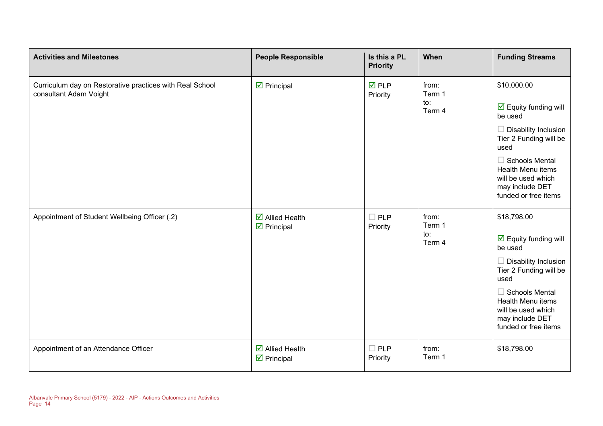| <b>Activities and Milestones</b>                                                   | <b>People Responsible</b>                                           | Is this a PL<br><b>Priority</b> | When                                                                                                                                                 | <b>Funding Streams</b>                                                                                                                                                                                                                                |
|------------------------------------------------------------------------------------|---------------------------------------------------------------------|---------------------------------|------------------------------------------------------------------------------------------------------------------------------------------------------|-------------------------------------------------------------------------------------------------------------------------------------------------------------------------------------------------------------------------------------------------------|
| Curriculum day on Restorative practices with Real School<br>consultant Adam Voight | $\triangleright$ Principal                                          | $\overline{M}$ PLP<br>Priority  | from:<br>Term 1<br>to:<br>Term 4                                                                                                                     | \$10,000.00<br>$\overline{\mathbf{y}}$ Equity funding will<br>be used<br>Disability Inclusion                                                                                                                                                         |
|                                                                                    |                                                                     |                                 | Tier 2 Funding will be<br>used<br>$\Box$ Schools Mental<br><b>Health Menu items</b><br>will be used which<br>may include DET<br>funded or free items |                                                                                                                                                                                                                                                       |
| Appointment of Student Wellbeing Officer (.2)                                      | $\overline{\mathbf{M}}$ Allied Health<br>$\boxtimes$ Principal      | $\square$ PLP<br>Priority       | from:<br>Term 1<br>to:<br>Term 4                                                                                                                     | \$18,798.00<br>$\overline{\mathbf{y}}$ Equity funding will<br>be used<br>$\Box$ Disability Inclusion<br>Tier 2 Funding will be<br>used<br>$\Box$ Schools Mental<br>Health Menu items<br>will be used which<br>may include DET<br>funded or free items |
| Appointment of an Attendance Officer                                               | $\overline{\mathbf{M}}$ Allied Health<br>$\triangleright$ Principal | $\Box$ PLP<br>Priority          | from:<br>Term 1                                                                                                                                      | \$18,798.00                                                                                                                                                                                                                                           |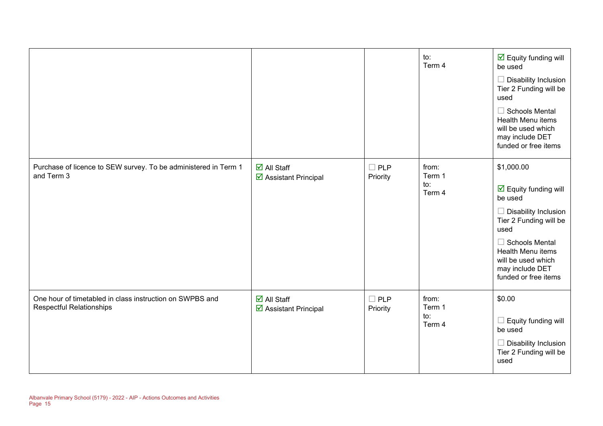|                                                                                             |                                                              |                           | to:<br>Term 4                    | $\overline{\mathbf{M}}$ Equity funding will<br>be used<br>$\Box$ Disability Inclusion<br>Tier 2 Funding will be<br>used<br><b>Schools Mental</b><br>Health Menu items<br>will be used which<br>may include DET<br>funded or free items                    |
|---------------------------------------------------------------------------------------------|--------------------------------------------------------------|---------------------------|----------------------------------|-----------------------------------------------------------------------------------------------------------------------------------------------------------------------------------------------------------------------------------------------------------|
| Purchase of licence to SEW survey. To be administered in Term 1<br>and Term 3               | $\overline{\mathsf{M}}$ All Staff<br>☑ Assistant Principal   | $\square$ PLP<br>Priority | from:<br>Term 1<br>to:<br>Term 4 | \$1,000.00<br>$\overline{\mathbf{y}}$ Equity funding will<br>be used<br><b>Disability Inclusion</b><br>H<br>Tier 2 Funding will be<br>used<br>$\Box$ Schools Mental<br>Health Menu items<br>will be used which<br>may include DET<br>funded or free items |
| One hour of timetabled in class instruction on SWPBS and<br><b>Respectful Relationships</b> | $\overline{\blacksquare}$ All Staff<br>☑ Assistant Principal | $\square$ PLP<br>Priority | from:<br>Term 1<br>to:<br>Term 4 | \$0.00<br>Equity funding will<br>be used<br><b>Disability Inclusion</b><br>Tier 2 Funding will be<br>used                                                                                                                                                 |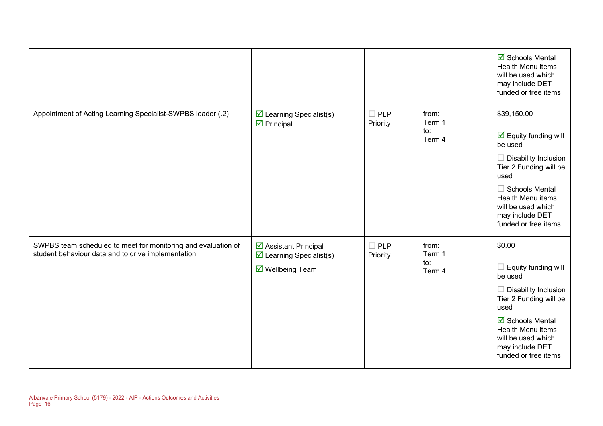|                                                                                                                     |                                                                                                    |                        |                                             | ☑ Schools Mental<br><b>Health Menu items</b><br>will be used which<br>may include DET<br>funded or free items                                                                                                                                         |
|---------------------------------------------------------------------------------------------------------------------|----------------------------------------------------------------------------------------------------|------------------------|---------------------------------------------|-------------------------------------------------------------------------------------------------------------------------------------------------------------------------------------------------------------------------------------------------------|
| Appointment of Acting Learning Specialist-SWPBS leader (.2)                                                         | $\triangleright$ Learning Specialist(s)<br>$\triangleright$ Principal                              | $\Box$ PLP<br>Priority | from:<br>Term 1<br>$\mathsf{to}:$<br>Term 4 | \$39,150.00<br>$\overline{\mathbf{y}}$ Equity funding will<br>be used<br>$\Box$ Disability Inclusion<br>Tier 2 Funding will be<br>used<br>$\Box$ Schools Mental<br>Health Menu items<br>will be used which<br>may include DET<br>funded or free items |
| SWPBS team scheduled to meet for monitoring and evaluation of<br>student behaviour data and to drive implementation | ☑ Assistant Principal<br>$\triangleright$ Learning Specialist(s)<br>$\triangledown$ Wellbeing Team | $\Box$ PLP<br>Priority | from:<br>Term 1<br>to:<br>Term 4            | \$0.00<br>$\Box$ Equity funding will<br>be used<br>$\Box$ Disability Inclusion<br>Tier 2 Funding will be<br>used<br><b>Ø</b> Schools Mental<br>Health Menu items<br>will be used which<br>may include DET<br>funded or free items                     |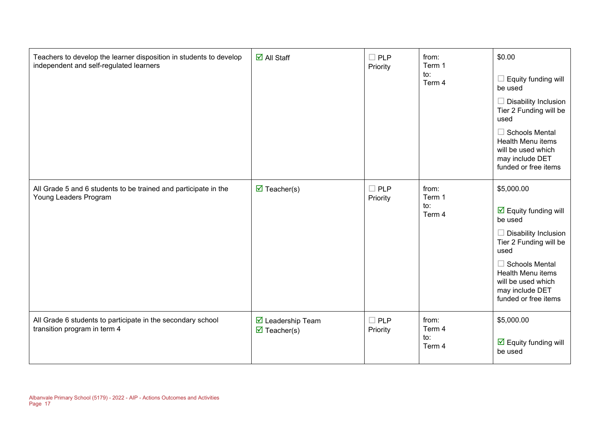| Teachers to develop the learner disposition in students to develop<br>independent and self-regulated learners | $\overline{\mathsf{d}}$ All Staff                             | $\Box$ PLP<br>Priority    | from:<br>Term 1<br>to:<br>Term 4 | \$0.00<br>$\Box$ Equity funding will<br>be used<br>$\Box$ Disability Inclusion<br>Tier 2 Funding will be<br>used<br>$\Box$ Schools Mental<br>Health Menu items<br>will be used which<br>may include DET<br>funded or free items                      |
|---------------------------------------------------------------------------------------------------------------|---------------------------------------------------------------|---------------------------|----------------------------------|------------------------------------------------------------------------------------------------------------------------------------------------------------------------------------------------------------------------------------------------------|
| All Grade 5 and 6 students to be trained and participate in the<br>Young Leaders Program                      | $\triangledown$ Teacher(s)                                    | $\Box$ PLP<br>Priority    | from:<br>Term 1<br>to:<br>Term 4 | \$5,000.00<br>$\overline{\mathbf{y}}$ Equity funding will<br>be used<br>$\Box$ Disability Inclusion<br>Tier 2 Funding will be<br>used<br>$\Box$ Schools Mental<br>Health Menu items<br>will be used which<br>may include DET<br>funded or free items |
| All Grade 6 students to participate in the secondary school<br>transition program in term 4                   | $\triangledown$ Leadership Team<br>$\triangledown$ Teacher(s) | $\square$ PLP<br>Priority | from:<br>Term 4<br>to:<br>Term 4 | \$5,000.00<br>$\overline{\mathbf{y}}$ Equity funding will<br>be used                                                                                                                                                                                 |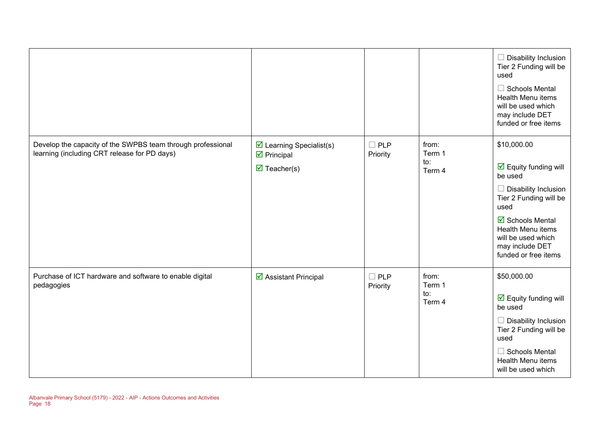|                                                                                                             |                                                                                                             |                        |                                  | $\Box$ Disability Inclusion<br>Tier 2 Funding will be<br>used<br>$\Box$ Schools Mental<br>Health Menu items<br>will be used which<br>may include DET<br>funded or free items                                                                                           |
|-------------------------------------------------------------------------------------------------------------|-------------------------------------------------------------------------------------------------------------|------------------------|----------------------------------|------------------------------------------------------------------------------------------------------------------------------------------------------------------------------------------------------------------------------------------------------------------------|
| Develop the capacity of the SWPBS team through professional<br>learning (including CRT release for PD days) | $\triangleright$ Learning Specialist(s)<br>$\triangleright$ Principal<br>$\overline{\mathbf{M}}$ Teacher(s) | $\Box$ PLP<br>Priority | from:<br>Term 1<br>to:<br>Term 4 | \$10,000.00<br>$\overline{\mathbf{y}}$ Equity funding will<br>be used<br>$\Box$ Disability Inclusion<br>Tier 2 Funding will be<br>used<br>$\overline{\mathbf{M}}$ Schools Mental<br>Health Menu items<br>will be used which<br>may include DET<br>funded or free items |
| Purchase of ICT hardware and software to enable digital<br>pedagogies                                       | ☑ Assistant Principal                                                                                       | $\Box$ PLP<br>Priority | from:<br>Term 1<br>to:<br>Term 4 | \$50,000.00<br>$\overline{\mathbf{y}}$ Equity funding will<br>be used<br>$\Box$ Disability Inclusion<br>Tier 2 Funding will be<br>used<br>$\Box$ Schools Mental<br>Health Menu items<br>will be used which                                                             |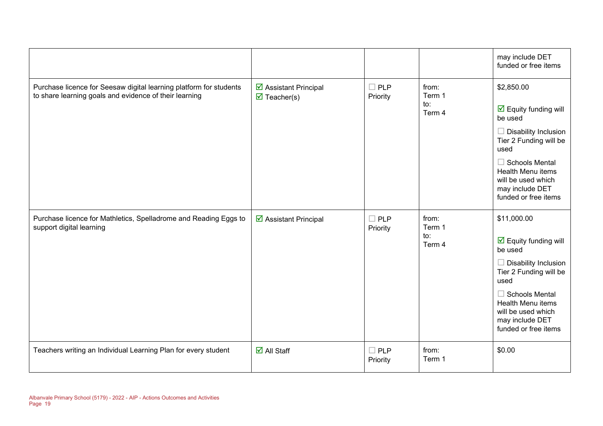|                                                                                                                              |                                                             |                           |                                  | may include DET<br>funded or free items                                                                                                                                                                                                                      |
|------------------------------------------------------------------------------------------------------------------------------|-------------------------------------------------------------|---------------------------|----------------------------------|--------------------------------------------------------------------------------------------------------------------------------------------------------------------------------------------------------------------------------------------------------------|
| Purchase licence for Seesaw digital learning platform for students<br>to share learning goals and evidence of their learning | ☑ Assistant Principal<br>$\overline{\mathbf{M}}$ Teacher(s) | $\square$ PLP<br>Priority | from:<br>Term 1<br>to:<br>Term 4 | \$2,850.00<br>$\overline{\mathbf{y}}$ Equity funding will<br>be used<br>$\Box$ Disability Inclusion<br>Tier 2 Funding will be<br>used<br>$\Box$ Schools Mental<br>Health Menu items<br>will be used which<br>may include DET<br>funded or free items         |
| Purchase licence for Mathletics, Spelladrome and Reading Eggs to<br>support digital learning                                 | ☑ Assistant Principal                                       | $\Box$ PLP<br>Priority    | from:<br>Term 1<br>to:<br>Term 4 | \$11,000.00<br>$\overline{\mathbf{y}}$ Equity funding will<br>be used<br>$\Box$ Disability Inclusion<br>Tier 2 Funding will be<br>used<br><b>Schools Mental</b><br><b>Health Menu items</b><br>will be used which<br>may include DET<br>funded or free items |
| Teachers writing an Individual Learning Plan for every student                                                               | $\overline{\mathsf{d}}$ All Staff                           | $\square$ PLP<br>Priority | from:<br>Term 1                  | \$0.00                                                                                                                                                                                                                                                       |